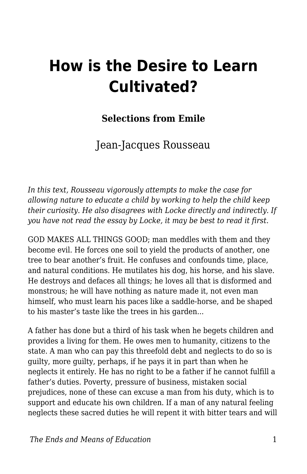# **How is the Desire to Learn Cultivated?**

#### **Selections from Emile**

### Jean-Jacques Rousseau

*In this text, Rousseau vigorously attempts to make the case for allowing nature to educate a child by working to help the child keep their curiosity. He also disagrees with Locke directly and indirectly. If you have not read the essay by Locke, it may be best to read it first.* 

GOD MAKES ALL THINGS GOOD; man meddles with them and they become evil. He forces one soil to yield the products of another, one tree to bear another's fruit. He confuses and confounds time, place, and natural conditions. He mutilates his dog, his horse, and his slave. He destroys and defaces all things; he loves all that is disformed and monstrous; he will have nothing as nature made it, not even man himself, who must learn his paces like a saddle-horse, and be shaped to his master's taste like the trees in his garden...

A father has done but a third of his task when he begets children and provides a living for them. He owes men to humanity, citizens to the state. A man who can pay this threefold debt and neglects to do so is guilty, more guilty, perhaps, if he pays it in part than when he neglects it entirely. He has no right to be a father if he cannot fulfill a father's duties. Poverty, pressure of business, mistaken social prejudices, none of these can excuse a man from his duty, which is to support and educate his own children. If a man of any natural feeling neglects these sacred duties he will repent it with bitter tears and will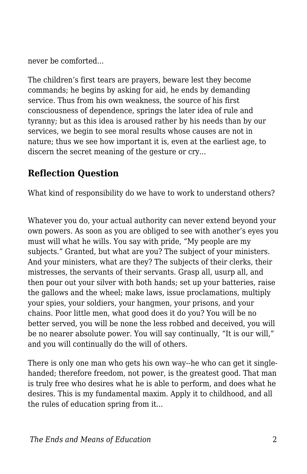never be comforted...

The children's first tears are prayers, beware lest they become commands; he begins by asking for aid, he ends by demanding service. Thus from his own weakness, the source of his first consciousness of dependence, springs the later idea of rule and tyranny; but as this idea is aroused rather by his needs than by our services, we begin to see moral results whose causes are not in nature; thus we see how important it is, even at the earliest age, to discern the secret meaning of the gesture or cry...

#### **Reflection Question**

What kind of responsibility do we have to work to understand others?

Whatever you do, your actual authority can never extend beyond your own powers. As soon as you are obliged to see with another's eyes you must will what he wills. You say with pride, "My people are my subjects." Granted, but what are you? The subject of your ministers. And your ministers, what are they? The subjects of their clerks, their mistresses, the servants of their servants. Grasp all, usurp all, and then pour out your silver with both hands; set up your batteries, raise the gallows and the wheel; make laws, issue proclamations, multiply your spies, your soldiers, your hangmen, your prisons, and your chains. Poor little men, what good does it do you? You will be no better served, you will be none the less robbed and deceived, you will be no nearer absolute power. You will say continually, "It is our will," and you will continually do the will of others.

There is only one man who gets his own way--he who can get it singlehanded; therefore freedom, not power, is the greatest good. That man is truly free who desires what he is able to perform, and does what he desires. This is my fundamental maxim. Apply it to childhood, and all the rules of education spring from it...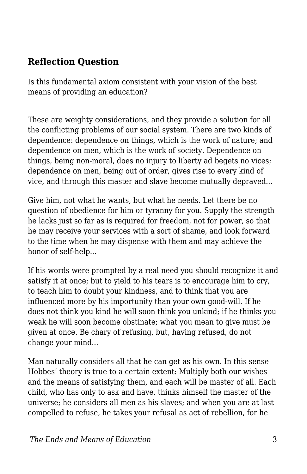#### **Reflection Question**

Is this fundamental axiom consistent with your vision of the best means of providing an education?

These are weighty considerations, and they provide a solution for all the conflicting problems of our social system. There are two kinds of dependence: dependence on things, which is the work of nature; and dependence on men, which is the work of society. Dependence on things, being non-moral, does no injury to liberty ad begets no vices; dependence on men, being out of order, gives rise to every kind of vice, and through this master and slave become mutually depraved...

Give him, not what he wants, but what he needs. Let there be no question of obedience for him or tyranny for you. Supply the strength he lacks just so far as is required for freedom, not for power, so that he may receive your services with a sort of shame, and look forward to the time when he may dispense with them and may achieve the honor of self-help...

If his words were prompted by a real need you should recognize it and satisfy it at once; but to yield to his tears is to encourage him to cry, to teach him to doubt your kindness, and to think that you are influenced more by his importunity than your own good-will. If he does not think you kind he will soon think you unkind; if he thinks you weak he will soon become obstinate; what you mean to give must be given at once. Be chary of refusing, but, having refused, do not change your mind...

Man naturally considers all that he can get as his own. In this sense Hobbes' theory is true to a certain extent: Multiply both our wishes and the means of satisfying them, and each will be master of all. Each child, who has only to ask and have, thinks himself the master of the universe; he considers all men as his slaves; and when you are at last compelled to refuse, he takes your refusal as act of rebellion, for he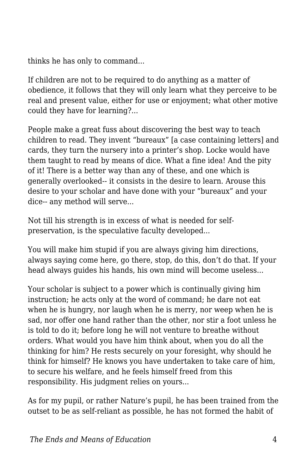thinks he has only to command...

If children are not to be required to do anything as a matter of obedience, it follows that they will only learn what they perceive to be real and present value, either for use or enjoyment; what other motive could they have for learning?...

People make a great fuss about discovering the best way to teach children to read. They invent "bureaux" [a case containing letters] and cards, they turn the nursery into a printer's shop. Locke would have them taught to read by means of dice. What a fine idea! And the pity of it! There is a better way than any of these, and one which is generally overlooked-- it consists in the desire to learn. Arouse this desire to your scholar and have done with your "bureaux" and your dice-- any method will serve...

Not till his strength is in excess of what is needed for selfpreservation, is the speculative faculty developed...

You will make him stupid if you are always giving him directions, always saying come here, go there, stop, do this, don't do that. If your head always guides his hands, his own mind will become useless...

Your scholar is subject to a power which is continually giving him instruction; he acts only at the word of command; he dare not eat when he is hungry, nor laugh when he is merry, nor weep when he is sad, nor offer one hand rather than the other, nor stir a foot unless he is told to do it; before long he will not venture to breathe without orders. What would you have him think about, when you do all the thinking for him? He rests securely on your foresight, why should he think for himself? He knows you have undertaken to take care of him, to secure his welfare, and he feels himself freed from this responsibility. His judgment relies on yours...

As for my pupil, or rather Nature's pupil, he has been trained from the outset to be as self-reliant as possible, he has not formed the habit of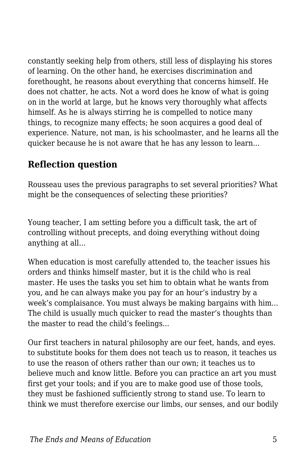constantly seeking help from others, still less of displaying his stores of learning. On the other hand, he exercises discrimination and forethought, he reasons about everything that concerns himself. He does not chatter, he acts. Not a word does he know of what is going on in the world at large, but he knows very thoroughly what affects himself. As he is always stirring he is compelled to notice many things, to recognize many effects; he soon acquires a good deal of experience. Nature, not man, is his schoolmaster, and he learns all the quicker because he is not aware that he has any lesson to learn...

#### **Reflection question**

Rousseau uses the previous paragraphs to set several priorities? What might be the consequences of selecting these priorities?

Young teacher, I am setting before you a difficult task, the art of controlling without precepts, and doing everything without doing anything at all...

When education is most carefully attended to, the teacher issues his orders and thinks himself master, but it is the child who is real master. He uses the tasks you set him to obtain what he wants from you, and he can always make you pay for an hour's industry by a week's complaisance. You must always be making bargains with him... The child is usually much quicker to read the master's thoughts than the master to read the child's feelings...

Our first teachers in natural philosophy are our feet, hands, and eyes. to substitute books for them does not teach us to reason, it teaches us to use the reason of others rather than our own; it teaches us to believe much and know little. Before you can practice an art you must first get your tools; and if you are to make good use of those tools, they must be fashioned sufficiently strong to stand use. To learn to think we must therefore exercise our limbs, our senses, and our bodily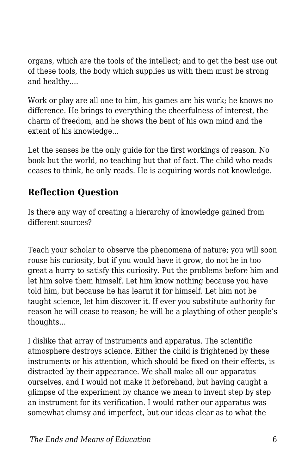organs, which are the tools of the intellect; and to get the best use out of these tools, the body which supplies us with them must be strong and healthy....

Work or play are all one to him, his games are his work; he knows no difference. He brings to everything the cheerfulness of interest, the charm of freedom, and he shows the bent of his own mind and the extent of his knowledge...

Let the senses be the only guide for the first workings of reason. No book but the world, no teaching but that of fact. The child who reads ceases to think, he only reads. He is acquiring words not knowledge.

#### **Reflection Question**

Is there any way of creating a hierarchy of knowledge gained from different sources?

Teach your scholar to observe the phenomena of nature; you will soon rouse his curiosity, but if you would have it grow, do not be in too great a hurry to satisfy this curiosity. Put the problems before him and let him solve them himself. Let him know nothing because you have told him, but because he has learnt it for himself. Let him not be taught science, let him discover it. If ever you substitute authority for reason he will cease to reason; he will be a plaything of other people's thoughts...

I dislike that array of instruments and apparatus. The scientific atmosphere destroys science. Either the child is frightened by these instruments or his attention, which should be fixed on their effects, is distracted by their appearance. We shall make all our apparatus ourselves, and I would not make it beforehand, but having caught a glimpse of the experiment by chance we mean to invent step by step an instrument for its verification. I would rather our apparatus was somewhat clumsy and imperfect, but our ideas clear as to what the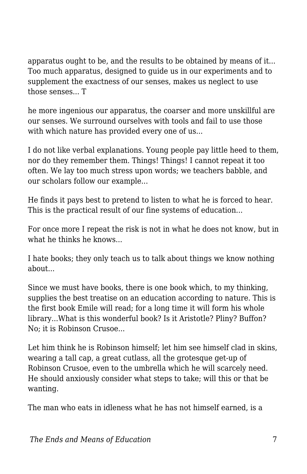apparatus ought to be, and the results to be obtained by means of it... Too much apparatus, designed to guide us in our experiments and to supplement the exactness of our senses, makes us neglect to use those senses... T

he more ingenious our apparatus, the coarser and more unskillful are our senses. We surround ourselves with tools and fail to use those with which nature has provided every one of us...

I do not like verbal explanations. Young people pay little heed to them, nor do they remember them. Things! Things! I cannot repeat it too often. We lay too much stress upon words; we teachers babble, and our scholars follow our example...

He finds it pays best to pretend to listen to what he is forced to hear. This is the practical result of our fine systems of education...

For once more I repeat the risk is not in what he does not know, but in what he thinks he knows...

I hate books; they only teach us to talk about things we know nothing about...

Since we must have books, there is one book which, to my thinking, supplies the best treatise on an education according to nature. This is the first book Emile will read; for a long time it will form his whole library...What is this wonderful book? Is it Aristotle? Pliny? Buffon? No; it is Robinson Crusoe...

Let him think he is Robinson himself; let him see himself clad in skins, wearing a tall cap, a great cutlass, all the grotesque get-up of Robinson Crusoe, even to the umbrella which he will scarcely need. He should anxiously consider what steps to take; will this or that be wanting.

The man who eats in idleness what he has not himself earned, is a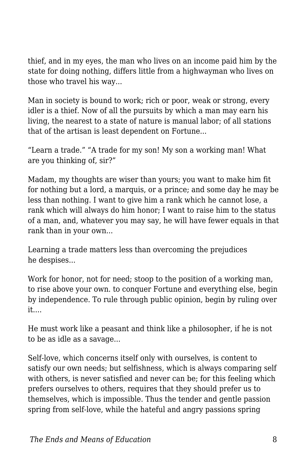thief, and in my eyes, the man who lives on an income paid him by the state for doing nothing, differs little from a highwayman who lives on those who travel his way...

Man in society is bound to work; rich or poor, weak or strong, every idler is a thief. Now of all the pursuits by which a man may earn his living, the nearest to a state of nature is manual labor; of all stations that of the artisan is least dependent on Fortune...

"Learn a trade." "A trade for my son! My son a working man! What are you thinking of, sir?"

Madam, my thoughts are wiser than yours; you want to make him fit for nothing but a lord, a marquis, or a prince; and some day he may be less than nothing. I want to give him a rank which he cannot lose, a rank which will always do him honor; I want to raise him to the status of a man, and, whatever you may say, he will have fewer equals in that rank than in your own...

Learning a trade matters less than overcoming the prejudices he despises...

Work for honor, not for need; stoop to the position of a working man, to rise above your own. to conquer Fortune and everything else, begin by independence. To rule through public opinion, begin by ruling over it....

He must work like a peasant and think like a philosopher, if he is not to be as idle as a savage...

Self-love, which concerns itself only with ourselves, is content to satisfy our own needs; but selfishness, which is always comparing self with others, is never satisfied and never can be; for this feeling which prefers ourselves to others, requires that they should prefer us to themselves, which is impossible. Thus the tender and gentle passion spring from self-love, while the hateful and angry passions spring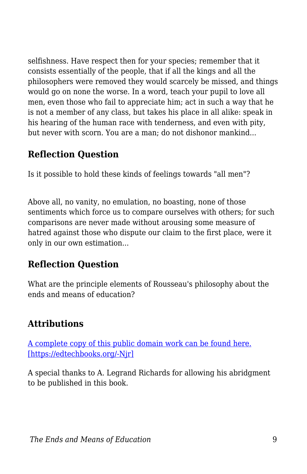selfishness. Have respect then for your species; remember that it consists essentially of the people, that if all the kings and all the philosophers were removed they would scarcely be missed, and things would go on none the worse. In a word, teach your pupil to love all men, even those who fail to appreciate him; act in such a way that he is not a member of any class, but takes his place in all alike: speak in his hearing of the human race with tenderness, and even with pity, but never with scorn. You are a man; do not dishonor mankind...

#### **Reflection Question**

Is it possible to hold these kinds of feelings towards "all men"?

Above all, no vanity, no emulation, no boasting, none of those sentiments which force us to compare ourselves with others; for such comparisons are never made without arousing some measure of hatred against those who dispute our claim to the first place, were it only in our own estimation...

## **Reflection Question**

What are the principle elements of Rousseau's philosophy about the ends and means of education?

# **Attributions**

[A complete copy of this public domain work can be found here.](https://archive.org/details/mileortreatiseo00rousgoog/page/n8) [\[https://edtechbooks.org/-Njr\]](https://archive.org/details/mileortreatiseo00rousgoog/page/n8)

A special thanks to A. Legrand Richards for allowing his abridgment to be published in this book.